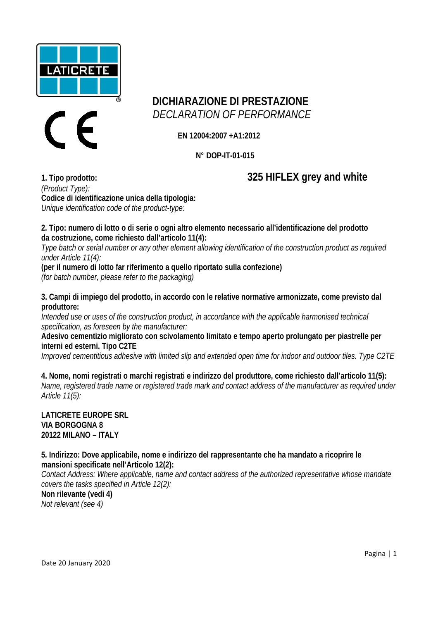



## **DICHIARAZIONE DI PRESTAZIONE**  *DECLARATION OF PERFORMANCE*

**EN 12004:2007 +A1:2012**

**N° DOP-IT-01-015** 

# **1. Tipo prodotto: 325 HIFLEX grey and white**

*(Product Type):*  **Codice di identificazione unica della tipologia:**  *Unique identification code of the product-type:* 

**2. Tipo: numero di lotto o di serie o ogni altro elemento necessario all'identificazione del prodotto da costruzione, come richiesto dall'articolo 11(4):** 

*Type batch or serial number or any other element allowing identification of the construction product as required under Article 11(4):* 

**(per il numero di lotto far riferimento a quello riportato sulla confezione)**  *(for batch number, please refer to the packaging)* 

**3. Campi di impiego del prodotto, in accordo con le relative normative armonizzate, come previsto dal produttore:** 

*Intended use or uses of the construction product, in accordance with the applicable harmonised technical specification, as foreseen by the manufacturer:* 

**Adesivo cementizio migliorato con scivolamento limitato e tempo aperto prolungato per piastrelle per interni ed esterni. Tipo C2TE** 

*Improved cementitious adhesive with limited slip and extended open time for indoor and outdoor tiles. Type C2TE* 

**4. Nome, nomi registrati o marchi registrati e indirizzo del produttore, come richiesto dall'articolo 11(5):**  *Name, registered trade name or registered trade mark and contact address of the manufacturer as required under Article 11(5):* 

**LATICRETE EUROPE SRL VIA BORGOGNA 8 20122 MILANO – ITALY** 

**5. Indirizzo: Dove applicabile, nome e indirizzo del rappresentante che ha mandato a ricoprire le mansioni specificate nell'Articolo 12(2):** 

*Contact Address: Where applicable, name and contact address of the authorized representative whose mandate covers the tasks specified in Article 12(2):* 

**Non rilevante (vedi 4)**  *Not relevant (see 4)*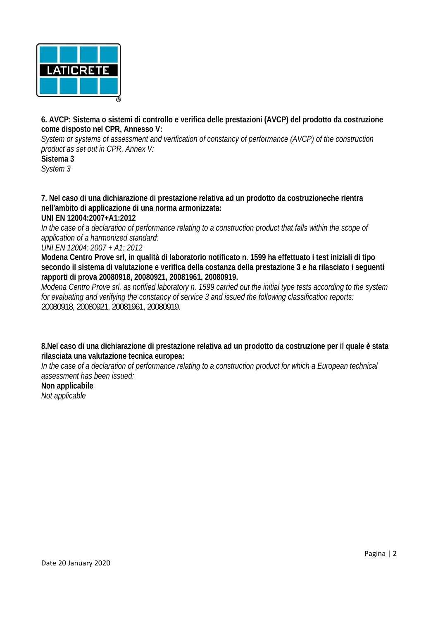

**6. AVCP: Sistema o sistemi di controllo e verifica delle prestazioni (AVCP) del prodotto da costruzione come disposto nel CPR, Annesso V:** 

*System or systems of assessment and verification of constancy of performance (AVCP) of the construction product as set out in CPR, Annex V:* 

**Sistema 3**  *System 3* 

**7. Nel caso di una dichiarazione di prestazione relativa ad un prodotto da costruzioneche rientra nell'ambito di applicazione di una norma armonizzata:** 

#### **UNI EN 12004:2007+A1:2012**

*In the case of a declaration of performance relating to a construction product that falls within the scope of application of a harmonized standard:* 

#### *UNI EN 12004: 2007 + A1: 2012*

**Modena Centro Prove srl, in qualità di laboratorio notificato n. 1599 ha effettuato i test iniziali di tipo secondo il sistema di valutazione e verifica della costanza della prestazione 3 e ha rilasciato i seguenti rapporti di prova 20080918, 20080921, 20081961, 20080919.** 

*Modena Centro Prove srl, as notified laboratory n. 1599 carried out the initial type tests according to the system for evaluating and verifying the constancy of service 3 and issued the following classification reports:*  20080918, 20080921, 20081961, 20080919.

**8.Nel caso di una dichiarazione di prestazione relativa ad un prodotto da costruzione per il quale è stata rilasciata una valutazione tecnica europea:** 

*In the case of a declaration of performance relating to a construction product for which a European technical assessment has been issued:* 

**Non applicabile**  *Not applicable*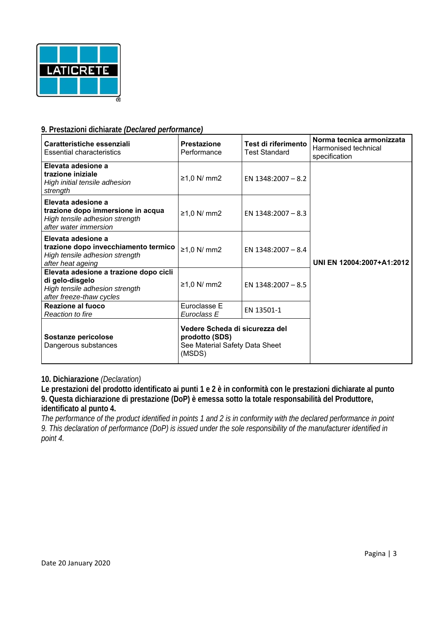

### **9. Prestazioni dichiarate** *(Declared performance)*

| Caratteristiche essenziali<br><b>Essential characteristics</b>                                                          | <b>Prestazione</b><br>Performance                                                            | Test di riferimento<br><b>Test Standard</b> | Norma tecnica armonizzata<br>Harmonised technical<br>specification |
|-------------------------------------------------------------------------------------------------------------------------|----------------------------------------------------------------------------------------------|---------------------------------------------|--------------------------------------------------------------------|
| Elevata adesione a<br>trazione iniziale<br>High initial tensile adhesion<br>strength                                    | $≥1,0$ N/ mm2                                                                                | EN $1348:2007 - 8.2$                        | UNI EN 12004:2007+A1:2012                                          |
| Elevata adesione a<br>trazione dopo immersione in acqua<br>High tensile adhesion strength<br>after water immersion      | $≥1,0$ N/ mm2                                                                                | EN $1348:2007 - 8.3$                        |                                                                    |
| Elevata adesione a<br>trazione dopo invecchiamento termico<br>High tensile adhesion strength<br>after heat ageing       | $≥1,0$ N/ mm2                                                                                | EN 1348:2007-8.4                            |                                                                    |
| Elevata adesione a trazione dopo cicli<br>di gelo-disgelo<br>High tensile adhesion strength<br>after freeze-thaw cycles | $≥1,0$ N/ mm2                                                                                | EN $1348:2007 - 8.5$                        |                                                                    |
| <b>Reazione al fuoco</b><br>Reaction to fire                                                                            | Euroclasse E<br>Euroclass E                                                                  | EN 13501-1                                  |                                                                    |
| Sostanze pericolose<br>Dangerous substances                                                                             | Vedere Scheda di sicurezza del<br>prodotto (SDS)<br>See Material Safety Data Sheet<br>(MSDS) |                                             |                                                                    |

#### **10. Dichiarazione** *(Declaration)*

**Le prestazioni del prodotto identificato ai punti 1 e 2 è in conformità con le prestazioni dichiarate al punto 9. Questa dichiarazione di prestazione (DoP) è emessa sotto la totale responsabilità del Produttore, identificato al punto 4.** 

*The performance of the product identified in points 1 and 2 is in conformity with the declared performance in point 9. This declaration of performance (DoP) is issued under the sole responsibility of the manufacturer identified in point 4.*